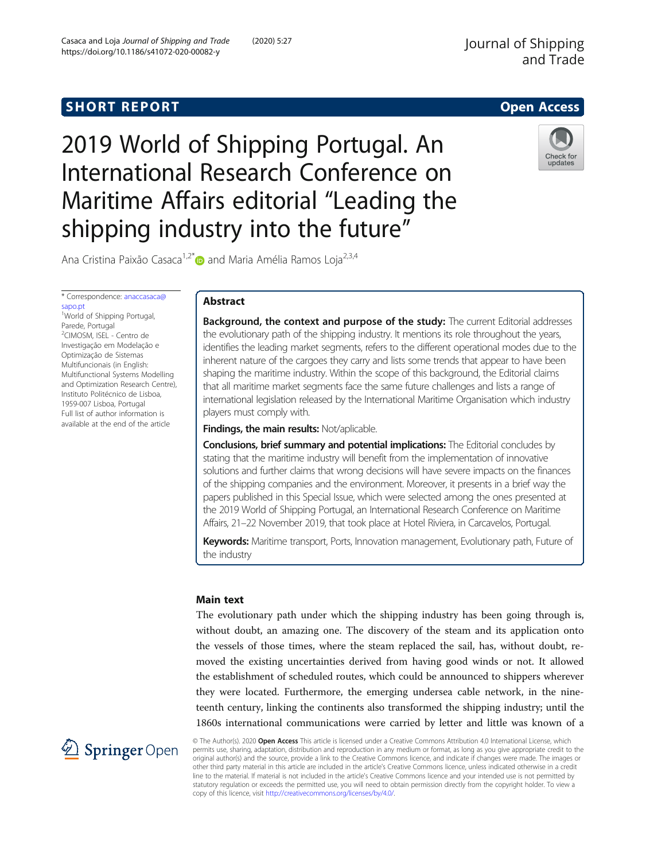# **SHORT REPORT CONTRACT CONTRACT CONTRACT CONTRACT CONTRACT CONTRACT CONTRACT CONTRACT CONTRACT CONTRACT CONTRACT CONTRACT CONTRACT CONTRACT CONTRACT CONTRACT CONTRACT CONTRACT CONTRACT CONTRACT CONTRACT CONTRACT CONTRACT C**

2019 World of Shipping Portugal. An International Research Conference on Maritime Affairs editorial "Leading the shipping industry into the future"



Ana Cristina Paixão Casaca<sup>1,2\*</sup> and Maria Amélia Ramos Loja<sup>2,3,4</sup>

\* Correspondence: [anaccasaca@](mailto:anaccasaca@sapo.pt)

[sapo.pt](mailto:anaccasaca@sapo.pt) <sup>1</sup>World of Shipping Portugal, Parede, Portugal 2 CIMOSM, ISEL - Centro de Investigação em Modelação e Optimização de Sistemas Multifuncionais (in English: Multifunctional Systems Modelling and Optimization Research Centre), Instituto Politécnico de Lisboa, 1959-007 Lisboa, Portugal Full list of author information is available at the end of the article

# Abstract

Background, the context and purpose of the study: The current Editorial addresses the evolutionary path of the shipping industry. It mentions its role throughout the years, identifies the leading market segments, refers to the different operational modes due to the inherent nature of the cargoes they carry and lists some trends that appear to have been shaping the maritime industry. Within the scope of this background, the Editorial claims that all maritime market segments face the same future challenges and lists a range of international legislation released by the International Maritime Organisation which industry players must comply with.

Findings, the main results: Not/aplicable.

Conclusions, brief summary and potential implications: The Editorial concludes by stating that the maritime industry will benefit from the implementation of innovative solutions and further claims that wrong decisions will have severe impacts on the finances of the shipping companies and the environment. Moreover, it presents in a brief way the papers published in this Special Issue, which were selected among the ones presented at the 2019 World of Shipping Portugal, an International Research Conference on Maritime Affairs, 21–22 November 2019, that took place at Hotel Riviera, in Carcavelos, Portugal.

Keywords: Maritime transport, Ports, Innovation management, Evolutionary path, Future of the industry

## Main text

The evolutionary path under which the shipping industry has been going through is, without doubt, an amazing one. The discovery of the steam and its application onto the vessels of those times, where the steam replaced the sail, has, without doubt, removed the existing uncertainties derived from having good winds or not. It allowed the establishment of scheduled routes, which could be announced to shippers wherever they were located. Furthermore, the emerging undersea cable network, in the nineteenth century, linking the continents also transformed the shipping industry; until the 1860s international communications were carried by letter and little was known of a



© The Author(s). 2020 Open Access This article is licensed under a Creative Commons Attribution 4.0 International License, which permits use, sharing, adaptation, distribution and reproduction in any medium or format, as long as you give appropriate credit to the original author(s) and the source, provide a link to the Creative Commons licence, and indicate if changes were made. The images or other third party material in this article are included in the article's Creative Commons licence, unless indicated otherwise in a credit line to the material. If material is not included in the article's Creative Commons licence and your intended use is not permitted by statutory regulation or exceeds the permitted use, you will need to obtain permission directly from the copyright holder. To view a copy of this licence, visit <http://creativecommons.org/licenses/by/4.0/>.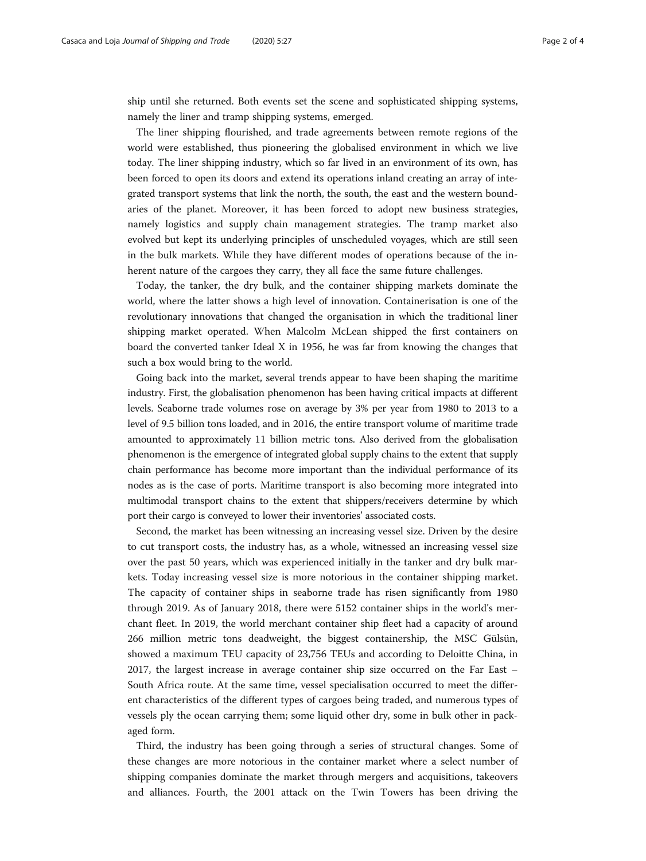ship until she returned. Both events set the scene and sophisticated shipping systems, namely the liner and tramp shipping systems, emerged.

The liner shipping flourished, and trade agreements between remote regions of the world were established, thus pioneering the globalised environment in which we live today. The liner shipping industry, which so far lived in an environment of its own, has been forced to open its doors and extend its operations inland creating an array of integrated transport systems that link the north, the south, the east and the western boundaries of the planet. Moreover, it has been forced to adopt new business strategies, namely logistics and supply chain management strategies. The tramp market also evolved but kept its underlying principles of unscheduled voyages, which are still seen in the bulk markets. While they have different modes of operations because of the inherent nature of the cargoes they carry, they all face the same future challenges.

Today, the tanker, the dry bulk, and the container shipping markets dominate the world, where the latter shows a high level of innovation. Containerisation is one of the revolutionary innovations that changed the organisation in which the traditional liner shipping market operated. When Malcolm McLean shipped the first containers on board the converted tanker Ideal X in 1956, he was far from knowing the changes that such a box would bring to the world.

Going back into the market, several trends appear to have been shaping the maritime industry. First, the globalisation phenomenon has been having critical impacts at different levels. Seaborne trade volumes rose on average by 3% per year from 1980 to 2013 to a level of 9.5 billion tons loaded, and in 2016, the entire transport volume of maritime trade amounted to approximately 11 billion metric tons. Also derived from the globalisation phenomenon is the emergence of integrated global supply chains to the extent that supply chain performance has become more important than the individual performance of its nodes as is the case of ports. Maritime transport is also becoming more integrated into multimodal transport chains to the extent that shippers/receivers determine by which port their cargo is conveyed to lower their inventories' associated costs.

Second, the market has been witnessing an increasing vessel size. Driven by the desire to cut transport costs, the industry has, as a whole, witnessed an increasing vessel size over the past 50 years, which was experienced initially in the tanker and dry bulk markets. Today increasing vessel size is more notorious in the container shipping market. The capacity of container ships in seaborne trade has risen significantly from 1980 through 2019. As of January 2018, there were 5152 container ships in the world's merchant fleet. In 2019, the world merchant container ship fleet had a capacity of around 266 million metric tons deadweight, the biggest containership, the MSC Gülsün, showed a maximum TEU capacity of 23,756 TEUs and according to Deloitte China, in 2017, the largest increase in average container ship size occurred on the Far East – South Africa route. At the same time, vessel specialisation occurred to meet the different characteristics of the different types of cargoes being traded, and numerous types of vessels ply the ocean carrying them; some liquid other dry, some in bulk other in packaged form.

Third, the industry has been going through a series of structural changes. Some of these changes are more notorious in the container market where a select number of shipping companies dominate the market through mergers and acquisitions, takeovers and alliances. Fourth, the 2001 attack on the Twin Towers has been driving the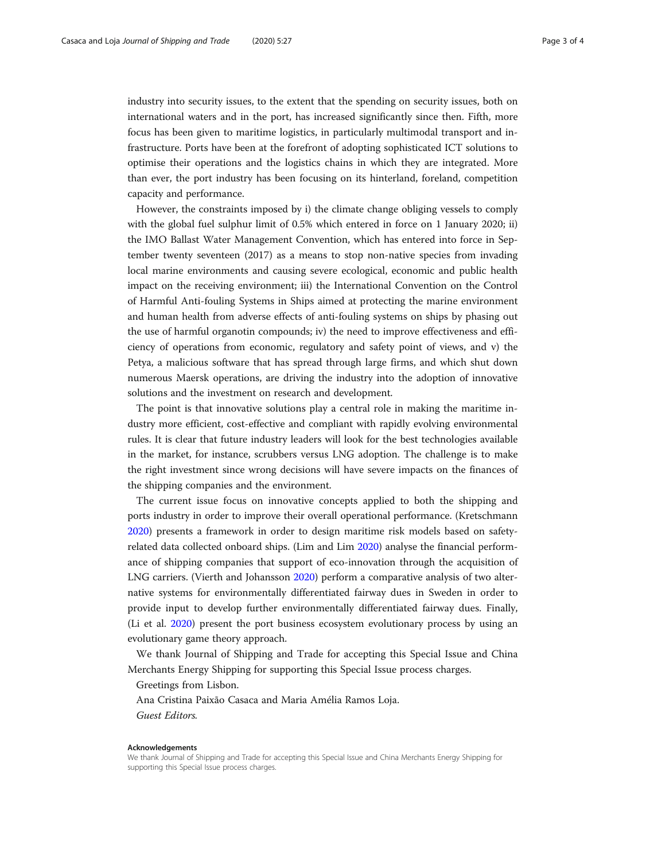industry into security issues, to the extent that the spending on security issues, both on international waters and in the port, has increased significantly since then. Fifth, more focus has been given to maritime logistics, in particularly multimodal transport and infrastructure. Ports have been at the forefront of adopting sophisticated ICT solutions to optimise their operations and the logistics chains in which they are integrated. More than ever, the port industry has been focusing on its hinterland, foreland, competition capacity and performance.

However, the constraints imposed by i) the climate change obliging vessels to comply with the global fuel sulphur limit of 0.5% which entered in force on 1 January 2020; ii) the IMO Ballast Water Management Convention, which has entered into force in September twenty seventeen (2017) as a means to stop non-native species from invading local marine environments and causing severe ecological, economic and public health impact on the receiving environment; iii) the International Convention on the Control of Harmful Anti-fouling Systems in Ships aimed at protecting the marine environment and human health from adverse effects of anti-fouling systems on ships by phasing out the use of harmful organotin compounds; iv) the need to improve effectiveness and efficiency of operations from economic, regulatory and safety point of views, and v) the Petya, a malicious software that has spread through large firms, and which shut down numerous Maersk operations, are driving the industry into the adoption of innovative solutions and the investment on research and development.

The point is that innovative solutions play a central role in making the maritime industry more efficient, cost-effective and compliant with rapidly evolving environmental rules. It is clear that future industry leaders will look for the best technologies available in the market, for instance, scrubbers versus LNG adoption. The challenge is to make the right investment since wrong decisions will have severe impacts on the finances of the shipping companies and the environment.

The current issue focus on innovative concepts applied to both the shipping and ports industry in order to improve their overall operational performance. (Kretschmann [2020](#page-3-0)) presents a framework in order to design maritime risk models based on safetyrelated data collected onboard ships. (Lim and Lim [2020](#page-3-0)) analyse the financial performance of shipping companies that support of eco-innovation through the acquisition of LNG carriers. (Vierth and Johansson [2020](#page-3-0)) perform a comparative analysis of two alternative systems for environmentally differentiated fairway dues in Sweden in order to provide input to develop further environmentally differentiated fairway dues. Finally, (Li et al. [2020\)](#page-3-0) present the port business ecosystem evolutionary process by using an evolutionary game theory approach.

We thank Journal of Shipping and Trade for accepting this Special Issue and China Merchants Energy Shipping for supporting this Special Issue process charges.

Greetings from Lisbon.

Ana Cristina Paixão Casaca and Maria Amélia Ramos Loja. Guest Editors.

#### Acknowledgements

We thank Journal of Shipping and Trade for accepting this Special Issue and China Merchants Energy Shipping for supporting this Special Issue process charges.